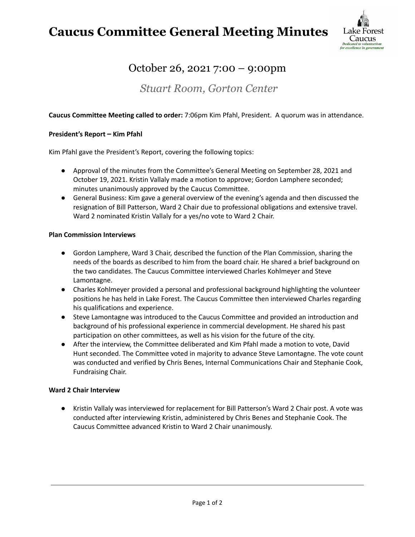## **Caucus Committee General Meeting Minutes**



## October 26, 2021 7:00 – 9:00pm

### *Stuart Room, Gorton Center*

#### **Caucus Committee Meeting called to order:** 7:06pm Kim Pfahl, President. A quorum was in attendance.

#### **President's Report – Kim Pfahl**

Kim Pfahl gave the President's Report, covering the following topics:

- Approval of the minutes from the Committee's General Meeting on September 28, 2021 and October 19, 2021. Kristin Vallaly made a motion to approve; Gordon Lamphere seconded; minutes unanimously approved by the Caucus Committee.
- General Business: Kim gave a general overview of the evening's agenda and then discussed the resignation of Bill Patterson, Ward 2 Chair due to professional obligations and extensive travel. Ward 2 nominated Kristin Vallaly for a yes/no vote to Ward 2 Chair.

#### **Plan Commission Interviews**

- Gordon Lamphere, Ward 3 Chair, described the function of the Plan Commission, sharing the needs of the boards as described to him from the board chair. He shared a brief background on the two candidates. The Caucus Committee interviewed Charles Kohlmeyer and Steve Lamontagne.
- Charles Kohlmeyer provided a personal and professional background highlighting the volunteer positions he has held in Lake Forest. The Caucus Committee then interviewed Charles regarding his qualifications and experience.
- Steve Lamontagne was introduced to the Caucus Committee and provided an introduction and background of his professional experience in commercial development. He shared his past participation on other committees, as well as his vision for the future of the city.
- After the interview, the Committee deliberated and Kim Pfahl made a motion to vote, David Hunt seconded. The Committee voted in majority to advance Steve Lamontagne. The vote count was conducted and verified by Chris Benes, Internal Communications Chair and Stephanie Cook, Fundraising Chair.

#### **Ward 2 Chair Interview**

● Kristin Vallaly was interviewed for replacement for Bill Patterson's Ward 2 Chair post. A vote was conducted after interviewing Kristin, administered by Chris Benes and Stephanie Cook. The Caucus Committee advanced Kristin to Ward 2 Chair unanimously.